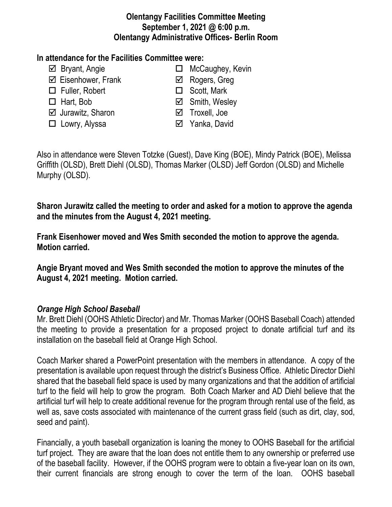#### **Olentangy Facilities Committee Meeting September 1, 2021 @ 6:00 p.m. Olentangy Administrative Offices- Berlin Room**

#### **In attendance for the Facilities Committee were:**

- 
- $\boxtimes$  Eisenhower, Frank **Eisenhower**, Frank
- $\Box$  Fuller, Robert  $\Box$  Scott, Mark
- 
- **Ø** Jurawitz, Sharon **D** Troxell, Joe
- □ Lowry, Alyssa <br>
□ Yanka, David
- $\boxtimes$  Bryant, Angie **MicCaughey, Kevin** 
	-
	-
- Hart, Bob Smith, Wesley
	-
	-

Also in attendance were Steven Totzke (Guest), Dave King (BOE), Mindy Patrick (BOE), Melissa Griffith (OLSD), Brett Diehl (OLSD), Thomas Marker (OLSD) Jeff Gordon (OLSD) and Michelle Murphy (OLSD).

**Sharon Jurawitz called the meeting to order and asked for a motion to approve the agenda and the minutes from the August 4, 2021 meeting.**

**Frank Eisenhower moved and Wes Smith seconded the motion to approve the agenda. Motion carried.**

**Angie Bryant moved and Wes Smith seconded the motion to approve the minutes of the August 4, 2021 meeting. Motion carried.**

# *Orange High School Baseball*

Mr. Brett Diehl (OOHS Athletic Director) and Mr. Thomas Marker (OOHS Baseball Coach) attended the meeting to provide a presentation for a proposed project to donate artificial turf and its installation on the baseball field at Orange High School.

Coach Marker shared a PowerPoint presentation with the members in attendance. A copy of the presentation is available upon request through the district's Business Office. Athletic Director Diehl shared that the baseball field space is used by many organizations and that the addition of artificial turf to the field will help to grow the program. Both Coach Marker and AD Diehl believe that the artificial turf will help to create additional revenue for the program through rental use of the field, as well as, save costs associated with maintenance of the current grass field (such as dirt, clay, sod, seed and paint).

Financially, a youth baseball organization is loaning the money to OOHS Baseball for the artificial turf project. They are aware that the loan does not entitle them to any ownership or preferred use of the baseball facility. However, if the OOHS program were to obtain a five-year loan on its own, their current financials are strong enough to cover the term of the loan. OOHS baseball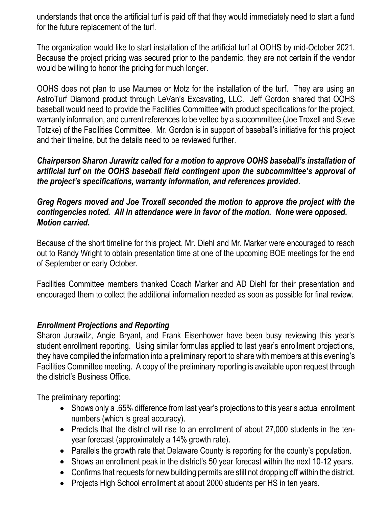understands that once the artificial turf is paid off that they would immediately need to start a fund for the future replacement of the turf.

The organization would like to start installation of the artificial turf at OOHS by mid-October 2021. Because the project pricing was secured prior to the pandemic, they are not certain if the vendor would be willing to honor the pricing for much longer.

OOHS does not plan to use Maumee or Motz for the installation of the turf. They are using an AstroTurf Diamond product through LeVan's Excavating, LLC. Jeff Gordon shared that OOHS baseball would need to provide the Facilities Committee with product specifications for the project, warranty information, and current references to be vetted by a subcommittee (Joe Troxell and Steve Totzke) of the Facilities Committee. Mr. Gordon is in support of baseball's initiative for this project and their timeline, but the details need to be reviewed further.

*Chairperson Sharon Jurawitz called for a motion to approve OOHS baseball's installation of artificial turf on the OOHS baseball field contingent upon the subcommittee's approval of the project's specifications, warranty information, and references provided*.

### *Greg Rogers moved and Joe Troxell seconded the motion to approve the project with the contingencies noted. All in attendance were in favor of the motion. None were opposed. Motion carried.*

Because of the short timeline for this project, Mr. Diehl and Mr. Marker were encouraged to reach out to Randy Wright to obtain presentation time at one of the upcoming BOE meetings for the end of September or early October.

Facilities Committee members thanked Coach Marker and AD Diehl for their presentation and encouraged them to collect the additional information needed as soon as possible for final review.

## *Enrollment Projections and Reporting*

Sharon Jurawitz, Angie Bryant, and Frank Eisenhower have been busy reviewing this year's student enrollment reporting. Using similar formulas applied to last year's enrollment projections, they have compiled the information into a preliminary report to share with members at this evening's Facilities Committee meeting. A copy of the preliminary reporting is available upon request through the district's Business Office.

The preliminary reporting:

- Shows only a .65% difference from last year's projections to this year's actual enrollment numbers (which is great accuracy).
- Predicts that the district will rise to an enrollment of about 27,000 students in the tenyear forecast (approximately a 14% growth rate).
- Parallels the growth rate that Delaware County is reporting for the county's population.
- Shows an enrollment peak in the district's 50 year forecast within the next 10-12 years.
- Confirms that requests for new building permits are still not dropping off within the district.
- Projects High School enrollment at about 2000 students per HS in ten years.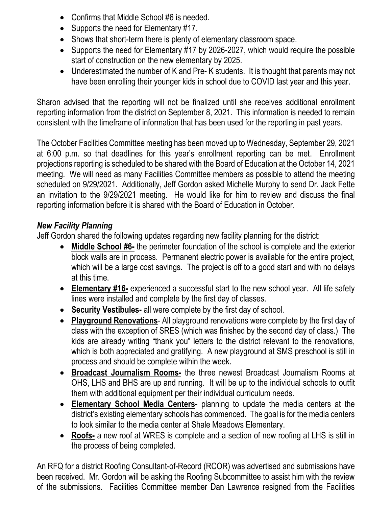- Confirms that Middle School #6 is needed.
- Supports the need for Elementary #17.
- Shows that short-term there is plenty of elementary classroom space.
- Supports the need for Elementary #17 by 2026-2027, which would require the possible start of construction on the new elementary by 2025.
- Underestimated the number of K and Pre-K students. It is thought that parents may not have been enrolling their younger kids in school due to COVID last year and this year.

Sharon advised that the reporting will not be finalized until she receives additional enrollment reporting information from the district on September 8, 2021. This information is needed to remain consistent with the timeframe of information that has been used for the reporting in past years.

The October Facilities Committee meeting has been moved up to Wednesday, September 29, 2021 at 6:00 p.m. so that deadlines for this year's enrollment reporting can be met. Enrollment projections reporting is scheduled to be shared with the Board of Education at the October 14, 2021 meeting. We will need as many Facilities Committee members as possible to attend the meeting scheduled on 9/29/2021. Additionally, Jeff Gordon asked Michelle Murphy to send Dr. Jack Fette an invitation to the 9/29/2021 meeting. He would like for him to review and discuss the final reporting information before it is shared with the Board of Education in October.

## *New Facility Planning*

Jeff Gordon shared the following updates regarding new facility planning for the district:

- **Middle School #6-** the perimeter foundation of the school is complete and the exterior block walls are in process. Permanent electric power is available for the entire project, which will be a large cost savings. The project is off to a good start and with no delays at this time.
- **Elementary #16-** experienced a successful start to the new school year. All life safety lines were installed and complete by the first day of classes.
- **Security Vestibules-** all were complete by the first day of school.
- **Playground Renovations** All playground renovations were complete by the first day of class with the exception of SRES (which was finished by the second day of class.) The kids are already writing "thank you" letters to the district relevant to the renovations, which is both appreciated and gratifying. A new playground at SMS preschool is still in process and should be complete within the week.
- **Broadcast Journalism Rooms-** the three newest Broadcast Journalism Rooms at OHS, LHS and BHS are up and running. It will be up to the individual schools to outfit them with additional equipment per their individual curriculum needs.
- **Elementary School Media Centers** planning to update the media centers at the district's existing elementary schools has commenced. The goal is for the media centers to look similar to the media center at Shale Meadows Elementary.
- **Roofs-** a new roof at WRES is complete and a section of new roofing at LHS is still in the process of being completed.

An RFQ for a district Roofing Consultant-of-Record (RCOR) was advertised and submissions have been received. Mr. Gordon will be asking the Roofing Subcommittee to assist him with the review of the submissions. Facilities Committee member Dan Lawrence resigned from the Facilities